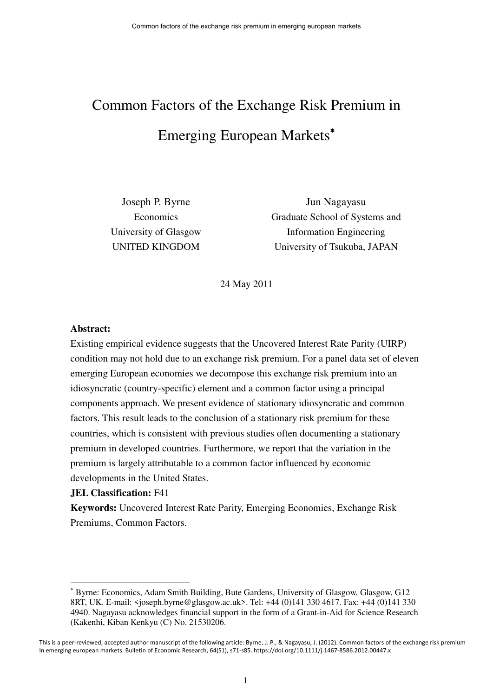# Common Factors of the Exchange Risk Premium in Emerging European Markets

Joseph P. Byrne Economics University of Glasgow UNITED KINGDOM

Jun Nagayasu Graduate School of Systems and Information Engineering University of Tsukuba, JAPAN

24 May 2011

## **Abstract:**

Existing empirical evidence suggests that the Uncovered Interest Rate Parity (UIRP) condition may not hold due to an exchange risk premium. For a panel data set of eleven emerging European economies we decompose this exchange risk premium into an idiosyncratic (country-specific) element and a common factor using a principal components approach. We present evidence of stationary idiosyncratic and common factors. This result leads to the conclusion of a stationary risk premium for these countries, which is consistent with previous studies often documenting a stationary premium in developed countries. Furthermore, we report that the variation in the premium is largely attributable to a common factor influenced by economic developments in the United States.

## **JEL Classification:** F41

**Keywords:** Uncovered Interest Rate Parity, Emerging Economies, Exchange Risk Premiums, Common Factors.

Byrne: Economics, Adam Smith Building, Bute Gardens, University of Glasgow, Glasgow, G12 8RT, UK. E-mail: <joseph.byrne@glasgow.ac.uk>. Tel: +44 (0)141 330 4617. Fax: +44 (0)141 330 4940. Nagayasu acknowledges financial support in the form of a Grant-in-Aid for Science Research (Kakenhi, Kiban Kenkyu (C) No. 21530206.

This is a peer-reviewed, accepted author manuscript of the following article: Byrne, J. P., & Nagayasu, J. (2012). Common factors of the exchange risk premium in emerging european markets. Bulletin of Economic Research, 64(S1), s71-s85. https://doi.org/10.1111/j.1467-8586.2012.00447.x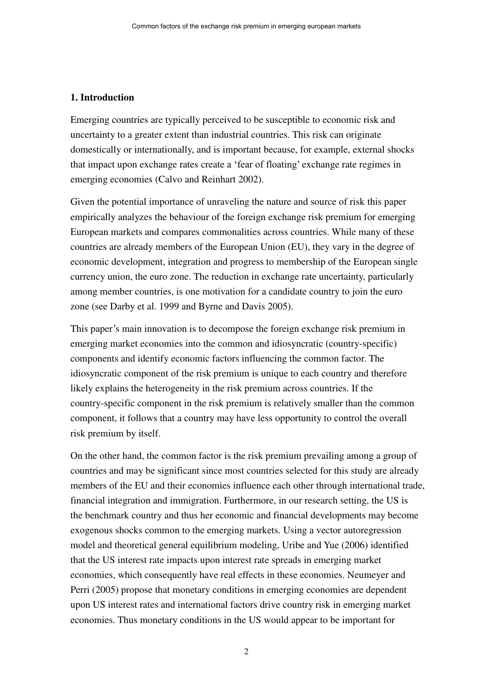#### **1. Introduction**

Emerging countries are typically perceived to be susceptible to economic risk and uncertainty to a greater extent than industrial countries. This risk can originate domestically or internationally, and is important because, for example, external shocks that impact upon exchange rates create a 'fear of floating' exchange rate regimes in emerging economies (Calvo and Reinhart 2002).

Given the potential importance of unraveling the nature and source of risk this paper empirically analyzes the behaviour of the foreign exchange risk premium for emerging European markets and compares commonalities across countries. While many of these countries are already members of the European Union (EU), they vary in the degree of economic development, integration and progress to membership of the European single currency union, the euro zone. The reduction in exchange rate uncertainty, particularly among member countries, is one motivation for a candidate country to join the euro zone (see Darby et al. 1999 and Byrne and Davis 2005).

This paper's main innovation is to decompose the foreign exchange risk premium in emerging market economies into the common and idiosyncratic (country-specific) components and identify economic factors influencing the common factor. The idiosyncratic component of the risk premium is unique to each country and therefore likely explains the heterogeneity in the risk premium across countries. If the country-specific component in the risk premium is relatively smaller than the common component, it follows that a country may have less opportunity to control the overall risk premium by itself.

On the other hand, the common factor is the risk premium prevailing among a group of countries and may be significant since most countries selected for this study are already members of the EU and their economies influence each other through international trade, financial integration and immigration. Furthermore, in our research setting, the US is the benchmark country and thus her economic and financial developments may become exogenous shocks common to the emerging markets. Using a vector autoregression model and theoretical general equilibrium modeling, Uribe and Yue (2006) identified that the US interest rate impacts upon interest rate spreads in emerging market economies, which consequently have real effects in these economies. Neumeyer and Perri (2005) propose that monetary conditions in emerging economies are dependent upon US interest rates and international factors drive country risk in emerging market economies. Thus monetary conditions in the US would appear to be important for

2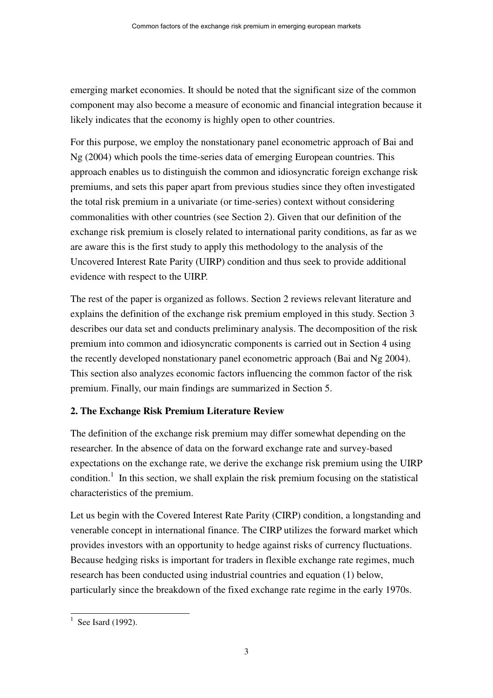emerging market economies. It should be noted that the significant size of the common component may also become a measure of economic and financial integration because it likely indicates that the economy is highly open to other countries.

For this purpose, we employ the nonstationary panel econometric approach of Bai and Ng (2004) which pools the time-series data of emerging European countries. This approach enables us to distinguish the common and idiosyncratic foreign exchange risk premiums, and sets this paper apart from previous studies since they often investigated the total risk premium in a univariate (or time-series) context without considering commonalities with other countries (see Section 2). Given that our definition of the exchange risk premium is closely related to international parity conditions, as far as we are aware this is the first study to apply this methodology to the analysis of the Uncovered Interest Rate Parity (UIRP) condition and thus seek to provide additional evidence with respect to the UIRP.

The rest of the paper is organized as follows. Section 2 reviews relevant literature and explains the definition of the exchange risk premium employed in this study. Section 3 describes our data set and conducts preliminary analysis. The decomposition of the risk premium into common and idiosyncratic components is carried out in Section 4 using the recently developed nonstationary panel econometric approach (Bai and Ng 2004). This section also analyzes economic factors influencing the common factor of the risk premium. Finally, our main findings are summarized in Section 5.

# **2. The Exchange Risk Premium Literature Review**

The definition of the exchange risk premium may differ somewhat depending on the researcher. In the absence of data on the forward exchange rate and survey-based expectations on the exchange rate, we derive the exchange risk premium using the UIRP condition.<sup>1</sup> In this section, we shall explain the risk premium focusing on the statistical characteristics of the premium.

Let us begin with the Covered Interest Rate Parity (CIRP) condition, a longstanding and venerable concept in international finance. The CIRP utilizes the forward market which provides investors with an opportunity to hedge against risks of currency fluctuations. Because hedging risks is important for traders in flexible exchange rate regimes, much research has been conducted using industrial countries and equation (1) below, particularly since the breakdown of the fixed exchange rate regime in the early 1970s.

 $<sup>1</sup>$  See Isard (1992).</sup>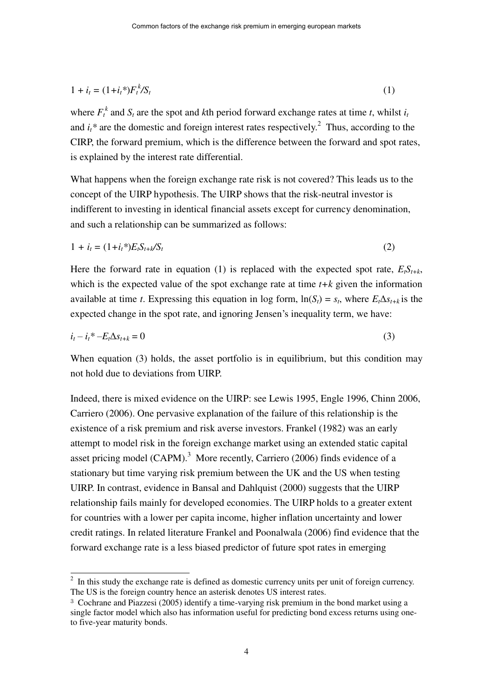$$
1 + i_t = (1 + i_t)^{*} F_t^{k} / S_t \tag{1}
$$

where  $F_t^k$  and  $S_t$  are the spot and *k*th period forward exchange rates at time *t*, whilst *i<sub>t</sub>* and  $i_t^*$  are the domestic and foreign interest rates respectively.<sup>2</sup> Thus, according to the CIRP, the forward premium, which is the difference between the forward and spot rates, is explained by the interest rate differential.

What happens when the foreign exchange rate risk is not covered? This leads us to the concept of the UIRP hypothesis. The UIRP shows that the risk-neutral investor is indifferent to investing in identical financial assets except for currency denomination, and such a relationship can be summarized as follows:

$$
1 + i_t = (1 + i_t^*)E_t S_{t+k} / S_t \tag{2}
$$

Here the forward rate in equation (1) is replaced with the expected spot rate,  $E_t S_{t+k}$ , which is the expected value of the spot exchange rate at time *t+k* given the information available at time *t*. Expressing this equation in log form,  $\ln(S_t) = s_t$ , where  $E_t \Delta s_{t+k}$  is the expected change in the spot rate, and ignoring Jensen's inequality term, we have:

$$
i_t - i_t^* - E_t \Delta s_{t+k} = 0 \tag{3}
$$

When equation (3) holds, the asset portfolio is in equilibrium, but this condition may not hold due to deviations from UIRP.

Indeed, there is mixed evidence on the UIRP: see Lewis 1995, Engle 1996, Chinn 2006, Carriero (2006). One pervasive explanation of the failure of this relationship is the existence of a risk premium and risk averse investors. Frankel (1982) was an early attempt to model risk in the foreign exchange market using an extended static capital asset pricing model  $(CAPM)<sup>3</sup>$  More recently, Carriero (2006) finds evidence of a stationary but time varying risk premium between the UK and the US when testing UIRP. In contrast, evidence in Bansal and Dahlquist (2000) suggests that the UIRP relationship fails mainly for developed economies. The UIRP holds to a greater extent for countries with a lower per capita income, higher inflation uncertainty and lower credit ratings. In related literature Frankel and Poonalwala (2006) find evidence that the forward exchange rate is a less biased predictor of future spot rates in emerging

 $2 \text{ In this study the exchange rate is defined as domestic currency units per unit of foreign currency.}$ The US is the foreign country hence an asterisk denotes US interest rates.

<sup>3</sup> Cochrane and Piazzesi (2005) identify a time-varying risk premium in the bond market using a single factor model which also has information useful for predicting bond excess returns using oneto five-year maturity bonds.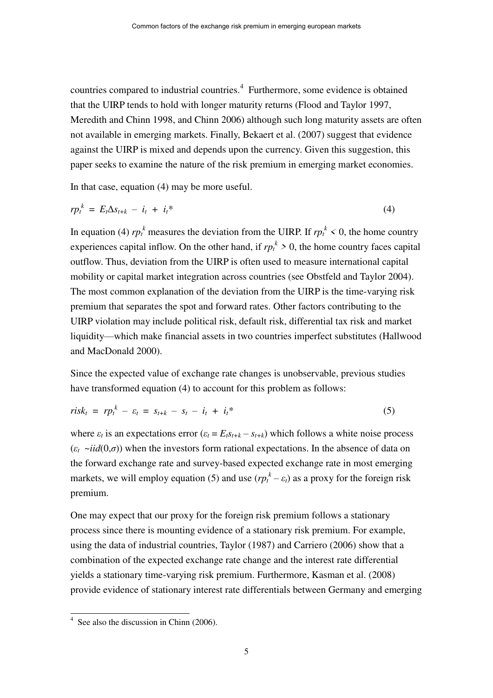countries compared to industrial countries.<sup>4</sup> Furthermore, some evidence is obtained that the UIRP tends to hold with longer maturity returns (Flood and Taylor 1997, Meredith and Chinn 1998, and Chinn 2006) although such long maturity assets are often not available in emerging markets. Finally, Bekaert et al. (2007) suggest that evidence against the UIRP is mixed and depends upon the currency. Given this suggestion, this paper seeks to examine the nature of the risk premium in emerging market economies.

In that case, equation (4) may be more useful.

$$
rp_t^k = E_t \Delta s_{t+k} - i_t + i_t^* \tag{4}
$$

In equation (4)  $rp_t^k$  measures the deviation from the UIRP. If  $rp_t^k < 0$ , the home country experiences capital inflow. On the other hand, if  $rp_t^k > 0$ , the home country faces capital outflow. Thus, deviation from the UIRP is often used to measure international capital mobility or capital market integration across countries (see Obstfeld and Taylor 2004). The most common explanation of the deviation from the UIRP is the time-varying risk premium that separates the spot and forward rates. Other factors contributing to the UIRP violation may include political risk, default risk, differential tax risk and market liquidity—which make financial assets in two countries imperfect substitutes (Hallwood and MacDonald 2000).

Since the expected value of exchange rate changes is unobservable, previous studies have transformed equation (4) to account for this problem as follows:

$$
risk_t = rp_t^k - \varepsilon_t = s_{t+k} - s_t - i_t + i_t^* \tag{5}
$$

where  $\varepsilon_t$  is an expectations error  $(\varepsilon_t = E_t s_{t+k} - s_{t+k})$  which follows a white noise process  $(\varepsilon_t \rightarrow \text{i}id(0,\sigma))$  when the investors form rational expectations. In the absence of data on the forward exchange rate and survey-based expected exchange rate in most emerging markets, we will employ equation (5) and use  $(r p_t^k - \varepsilon_t)$  as a proxy for the foreign risk premium.

One may expect that our proxy for the foreign risk premium follows a stationary process since there is mounting evidence of a stationary risk premium. For example, using the data of industrial countries, Taylor (1987) and Carriero (2006) show that a combination of the expected exchange rate change and the interest rate differential yields a stationary time-varying risk premium. Furthermore, Kasman et al. (2008) provide evidence of stationary interest rate differentials between Germany and emerging

<sup>&</sup>lt;sup>4</sup> See also the discussion in Chinn (2006).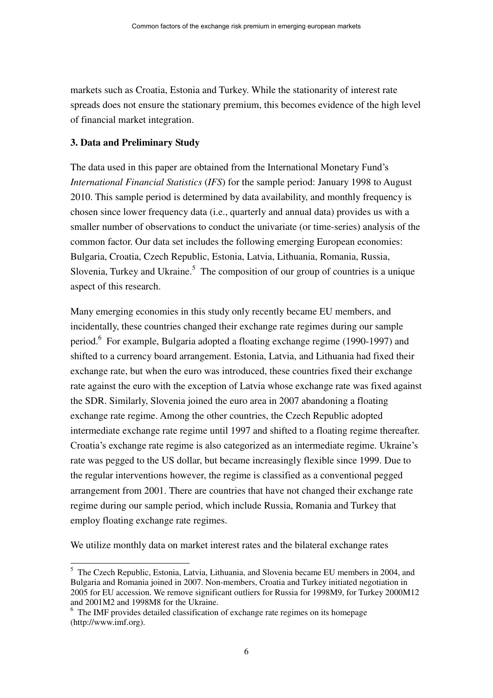markets such as Croatia, Estonia and Turkey. While the stationarity of interest rate spreads does not ensure the stationary premium, this becomes evidence of the high level of financial market integration.

## **3. Data and Preliminary Study**

 $\overline{a}$ 

The data used in this paper are obtained from the International Monetary Fund's *International Financial Statistics* (*IFS*) for the sample period: January 1998 to August 2010. This sample period is determined by data availability, and monthly frequency is chosen since lower frequency data (i.e., quarterly and annual data) provides us with a smaller number of observations to conduct the univariate (or time-series) analysis of the common factor. Our data set includes the following emerging European economies: Bulgaria, Croatia, Czech Republic, Estonia, Latvia, Lithuania, Romania, Russia, Slovenia, Turkey and Ukraine. $5$  The composition of our group of countries is a unique aspect of this research.

Many emerging economies in this study only recently became EU members, and incidentally, these countries changed their exchange rate regimes during our sample period.<sup>6</sup> For example, Bulgaria adopted a floating exchange regime (1990-1997) and shifted to a currency board arrangement. Estonia, Latvia, and Lithuania had fixed their exchange rate, but when the euro was introduced, these countries fixed their exchange rate against the euro with the exception of Latvia whose exchange rate was fixed against the SDR. Similarly, Slovenia joined the euro area in 2007 abandoning a floating exchange rate regime. Among the other countries, the Czech Republic adopted intermediate exchange rate regime until 1997 and shifted to a floating regime thereafter. Croatia's exchange rate regime is also categorized as an intermediate regime. Ukraine's rate was pegged to the US dollar, but became increasingly flexible since 1999. Due to the regular interventions however, the regime is classified as a conventional pegged arrangement from 2001. There are countries that have not changed their exchange rate regime during our sample period, which include Russia, Romania and Turkey that employ floating exchange rate regimes.

We utilize monthly data on market interest rates and the bilateral exchange rates

<sup>&</sup>lt;sup>5</sup> The Czech Republic, Estonia, Latvia, Lithuania, and Slovenia became EU members in 2004, and Bulgaria and Romania joined in 2007. Non-members, Croatia and Turkey initiated negotiation in 2005 for EU accession. We remove significant outliers for Russia for 1998M9, for Turkey 2000M12 and 2001M2 and 1998M8 for the Ukraine.

<sup>&</sup>lt;sup>6</sup> The IMF provides detailed classification of exchange rate regimes on its homepage (http://www.imf.org).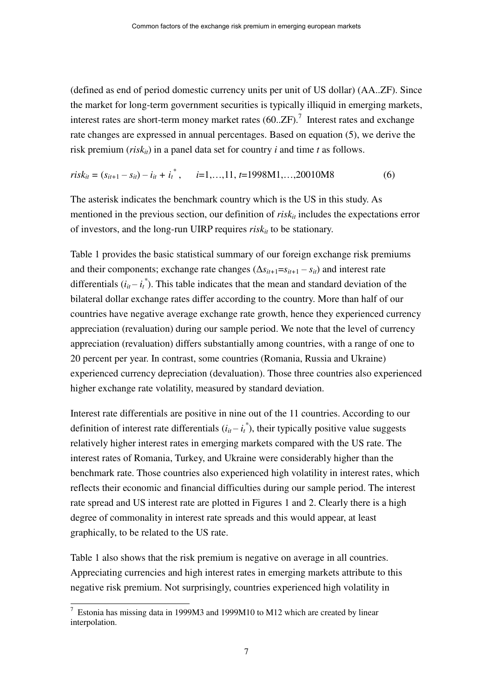(defined as end of period domestic currency units per unit of US dollar) (AA..ZF). Since the market for long-term government securities is typically illiquid in emerging markets, interest rates are short-term money market rates  $(60..ZF).$ <sup>7</sup> Interest rates and exchange rate changes are expressed in annual percentages. Based on equation (5), we derive the risk premium (*risk<sub>it</sub>*) in a panel data set for country *i* and time *t* as follows.

$$
risk_{it} = (s_{it+1} - s_{it}) - i_{it} + i_t^*, \qquad i = 1, \dots, 11, t = 1998M1, \dots, 20010M8 \tag{6}
$$

The asterisk indicates the benchmark country which is the US in this study. As mentioned in the previous section, our definition of *risk<sub>it</sub>* includes the expectations error of investors, and the long-run UIRP requires *riskit* to be stationary.

Table 1 provides the basic statistical summary of our foreign exchange risk premiums and their components; exchange rate changes  $(\Delta s_{it+1} = s_{it+1} - s_{it})$  and interest rate differentials  $(i_{it} - i_t^*)$ . This table indicates that the mean and standard deviation of the bilateral dollar exchange rates differ according to the country. More than half of our countries have negative average exchange rate growth, hence they experienced currency appreciation (revaluation) during our sample period. We note that the level of currency appreciation (revaluation) differs substantially among countries, with a range of one to 20 percent per year. In contrast, some countries (Romania, Russia and Ukraine) experienced currency depreciation (devaluation). Those three countries also experienced higher exchange rate volatility, measured by standard deviation.

Interest rate differentials are positive in nine out of the 11 countries. According to our definition of interest rate differentials  $(i_{it} - i_t^*)$ , their typically positive value suggests relatively higher interest rates in emerging markets compared with the US rate. The interest rates of Romania, Turkey, and Ukraine were considerably higher than the benchmark rate. Those countries also experienced high volatility in interest rates, which reflects their economic and financial difficulties during our sample period. The interest rate spread and US interest rate are plotted in Figures 1 and 2. Clearly there is a high degree of commonality in interest rate spreads and this would appear, at least graphically, to be related to the US rate.

Table 1 also shows that the risk premium is negative on average in all countries. Appreciating currencies and high interest rates in emerging markets attribute to this negative risk premium. Not surprisingly, countries experienced high volatility in

 $7$  Estonia has missing data in 1999M3 and 1999M10 to M12 which are created by linear interpolation.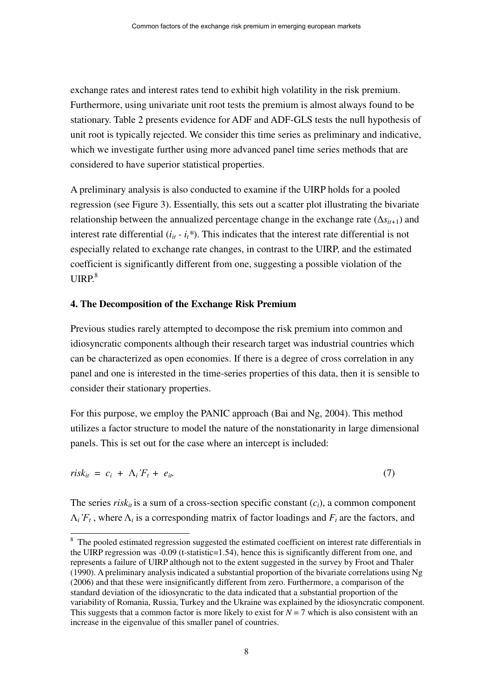exchange rates and interest rates tend to exhibit high volatility in the risk premium. Furthermore, using univariate unit root tests the premium is almost always found to be stationary. Table 2 presents evidence for ADF and ADF-GLS tests the null hypothesis of unit root is typically rejected. We consider this time series as preliminary and indicative, which we investigate further using more advanced panel time series methods that are considered to have superior statistical properties.

A preliminary analysis is also conducted to examine if the UIRP holds for a pooled regression (see Figure 3). Essentially, this sets out a scatter plot illustrating the bivariate relationship between the annualized percentage change in the exchange rate  $(\Delta s_{it+1})$  and interest rate differential  $(i_{it} - i_t^*)$ . This indicates that the interest rate differential is not especially related to exchange rate changes, in contrast to the UIRP, and the estimated coefficient is significantly different from one, suggesting a possible violation of the  $UIRP<sup>8</sup>$ 

#### **4. The Decomposition of the Exchange Risk Premium**

 $\overline{a}$ 

Previous studies rarely attempted to decompose the risk premium into common and idiosyncratic components although their research target was industrial countries which can be characterized as open economies. If there is a degree of cross correlation in any panel and one is interested in the time-series properties of this data, then it is sensible to consider their stationary properties.

For this purpose, we employ the PANIC approach (Bai and Ng, 2004). This method utilizes a factor structure to model the nature of the nonstationarity in large dimensional panels. This is set out for the case where an intercept is included:

$$
risk_{it} = c_i + \Lambda_i' F_t + e_{it} \tag{7}
$$

The series *risk<sub>it</sub>* is a sum of a cross-section specific constant  $(c_i)$ , a common component  $\Lambda_i$ <sup>*r*</sup> $_t$ , where  $\Lambda_i$  is a corresponding matrix of factor loadings and  $F_t$  are the factors, and

<sup>&</sup>lt;sup>8</sup> The pooled estimated regression suggested the estimated coefficient on interest rate differentials in the UIRP regression was -0.09 (t-statistic=1.54), hence this is significantly different from one, and represents a failure of UIRP although not to the extent suggested in the survey by Froot and Thaler (1990). A preliminary analysis indicated a substantial proportion of the bivariate correlations using Ng (2006) and that these were insignificantly different from zero. Furthermore, a comparison of the standard deviation of the idiosyncratic to the data indicated that a substantial proportion of the variability of Romania, Russia, Turkey and the Ukraine was explained by the idiosyncratic component. This suggests that a common factor is more likely to exist for  $N = 7$  which is also consistent with an increase in the eigenvalue of this smaller panel of countries.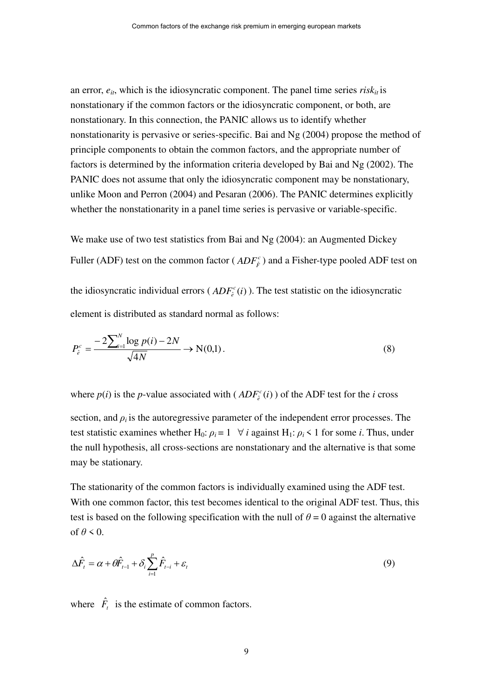an error,  $e_{it}$ , which is the idiosyncratic component. The panel time series  $risk_{it}$  is nonstationary if the common factors or the idiosyncratic component, or both, are nonstationary. In this connection, the PANIC allows us to identify whether nonstationarity is pervasive or series-specific. Bai and Ng (2004) propose the method of principle components to obtain the common factors, and the appropriate number of factors is determined by the information criteria developed by Bai and Ng (2002). The PANIC does not assume that only the idiosyncratic component may be nonstationary, unlike Moon and Perron (2004) and Pesaran (2006). The PANIC determines explicitly whether the nonstationarity in a panel time series is pervasive or variable-specific.

We make use of two test statistics from Bai and Ng (2004): an Augmented Dickey Fuller (ADF) test on the common factor ( $ADF<sub>\hat{F}</sub>$ ) and a Fisher-type pooled ADF test on the idiosyncratic individual errors ( $ADF_c^c(i)$  $e^c$ <sub> $\hat{e}$ </sub> (*i*) ). The test statistic on the idiosyncratic element is distributed as standard normal as follows:

$$
P_{\hat{e}}^c = \frac{-2\sum_{i=1}^N \log p(i) - 2N}{\sqrt{4N}} \to N(0,1).
$$
 (8)

where  $p(i)$  is the *p*-value associated with ( $ADF_c^c(i)$ )  $\hat{e}^c(i)$ ) of the ADF test for the *i* cross

section, and  $\rho_i$  is the autoregressive parameter of the independent error processes. The test statistic examines whether H<sub>0</sub>:  $\rho_i = 1 \quad \forall i$  against H<sub>1</sub>:  $\rho_i < 1$  for some *i*. Thus, under the null hypothesis, all cross-sections are nonstationary and the alternative is that some may be stationary.

The stationarity of the common factors is individually examined using the ADF test. With one common factor, this test becomes identical to the original ADF test. Thus, this test is based on the following specification with the null of  $\theta = 0$  against the alternative of  $\theta \leq 0$ .

$$
\Delta \hat{F}_t = \alpha + \theta \hat{F}_{t-1} + \delta_i \sum_{i=1}^p \hat{F}_{t-i} + \varepsilon_t
$$
\n(9)

where  $\hat{F}_t$  is the estimate of common factors.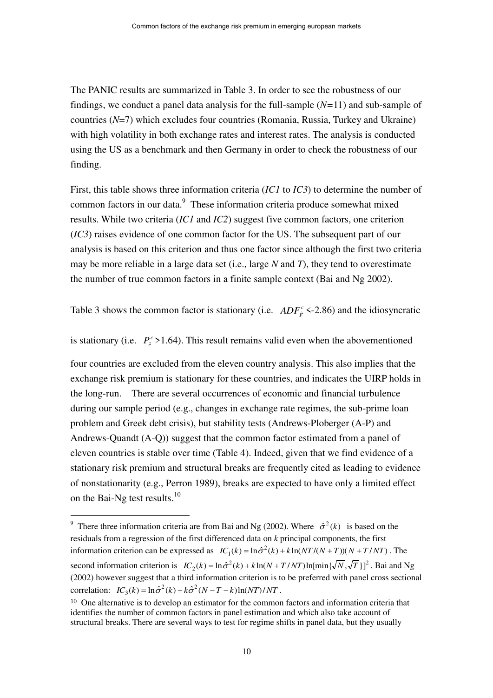The PANIC results are summarized in Table 3. In order to see the robustness of our findings, we conduct a panel data analysis for the full-sample (*N=*11) and sub-sample of countries (*N*=7) which excludes four countries (Romania, Russia, Turkey and Ukraine) with high volatility in both exchange rates and interest rates. The analysis is conducted using the US as a benchmark and then Germany in order to check the robustness of our finding.

First, this table shows three information criteria (*IC1* to *IC3*) to determine the number of common factors in our data.<sup>9</sup> These information criteria produce somewhat mixed results. While two criteria (*IC1* and *IC2*) suggest five common factors, one criterion (*IC3*) raises evidence of one common factor for the US. The subsequent part of our analysis is based on this criterion and thus one factor since although the first two criteria may be more reliable in a large data set (i.e., large *N* and *T*), they tend to overestimate the number of true common factors in a finite sample context (Bai and Ng 2002).

Table 3 shows the common factor is stationary (i.e.  $ADF_{\hat{F}}^c$  <-2.86) and the idiosyncratic

is stationary (i.e.  $P_e^c > 1.64$ ). This result remains valid even when the abovementioned

four countries are excluded from the eleven country analysis. This also implies that the exchange risk premium is stationary for these countries, and indicates the UIRP holds in the long-run. There are several occurrences of economic and financial turbulence during our sample period (e.g., changes in exchange rate regimes, the sub-prime loan problem and Greek debt crisis), but stability tests (Andrews-Ploberger (A-P) and Andrews-Quandt (A-Q)) suggest that the common factor estimated from a panel of eleven countries is stable over time (Table 4). Indeed, given that we find evidence of a stationary risk premium and structural breaks are frequently cited as leading to evidence of nonstationarity (e.g., Perron 1989), breaks are expected to have only a limited effect on the Bai-Ng test results. $10$ 

<sup>&</sup>lt;sup>9</sup> There three information criteria are from Bai and Ng (2002). Where  $\hat{\sigma}^2(k)$  is based on the residuals from a regression of the first differenced data on *k* principal components, the first information criterion can be expressed as  $IC_1(k) = \ln \hat{\sigma}^2(k) + k \ln (NT/(N+T))(N+T/NT)$ . The second information criterion is  $IC_2(k) = \ln \hat{\sigma}^2(k) + k \ln(N + T/NT) \ln[\min{\{\sqrt{N}, \sqrt{T}\}}]^2$ . Bai and Ng (2002) however suggest that a third information criterion is to be preferred with panel cross sectional correlation:  $IC_3(k) = \ln \hat{\sigma}^2(k) + k\hat{\sigma}^2(N - T - k)\ln(NT)/NT$ .

<sup>&</sup>lt;sup>10</sup> One alternative is to develop an estimator for the common factors and information criteria that identifies the number of common factors in panel estimation and which also take account of structural breaks. There are several ways to test for regime shifts in panel data, but they usually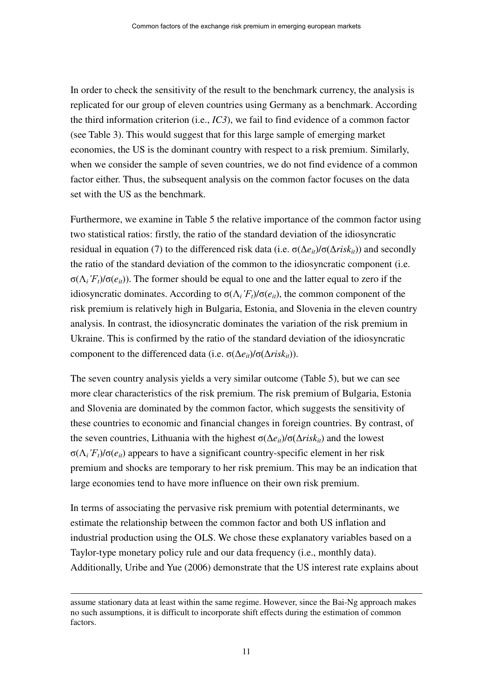In order to check the sensitivity of the result to the benchmark currency, the analysis is replicated for our group of eleven countries using Germany as a benchmark. According the third information criterion (i.e., *IC3*), we fail to find evidence of a common factor (see Table 3). This would suggest that for this large sample of emerging market economies, the US is the dominant country with respect to a risk premium. Similarly, when we consider the sample of seven countries, we do not find evidence of a common factor either. Thus, the subsequent analysis on the common factor focuses on the data set with the US as the benchmark.

Furthermore, we examine in Table 5 the relative importance of the common factor using two statistical ratios: firstly, the ratio of the standard deviation of the idiosyncratic residual in equation (7) to the differenced risk data (i.e.  $\sigma(\Delta e_i)/\sigma(\Delta r_i s k_i)$ ) and secondly the ratio of the standard deviation of the common to the idiosyncratic component (i.e. σ(Λ*i'Ft*)/σ(*eit*)). The former should be equal to one and the latter equal to zero if the idiosyncratic dominates. According to  $σ(Λ<sub>i</sub>'F<sub>t</sub>)/σ(e<sub>it</sub>)$ , the common component of the risk premium is relatively high in Bulgaria, Estonia, and Slovenia in the eleven country analysis. In contrast, the idiosyncratic dominates the variation of the risk premium in Ukraine. This is confirmed by the ratio of the standard deviation of the idiosyncratic component to the differenced data (i.e.  $\sigma(\Delta e_i)/\sigma(\Delta risk_i)$ ).

The seven country analysis yields a very similar outcome (Table 5), but we can see more clear characteristics of the risk premium. The risk premium of Bulgaria, Estonia and Slovenia are dominated by the common factor, which suggests the sensitivity of these countries to economic and financial changes in foreign countries. By contrast, of the seven countries, Lithuania with the highest  $\sigma(\Delta e_i)/\sigma(\Delta r_i s k_i)$  and the lowest σ(Λ*i'Ft*)/σ(*eit*) appears to have a significant country-specific element in her risk premium and shocks are temporary to her risk premium. This may be an indication that large economies tend to have more influence on their own risk premium.

In terms of associating the pervasive risk premium with potential determinants, we estimate the relationship between the common factor and both US inflation and industrial production using the OLS. We chose these explanatory variables based on a Taylor-type monetary policy rule and our data frequency (i.e., monthly data). Additionally, Uribe and Yue (2006) demonstrate that the US interest rate explains about

assume stationary data at least within the same regime. However, since the Bai-Ng approach makes no such assumptions, it is difficult to incorporate shift effects during the estimation of common factors.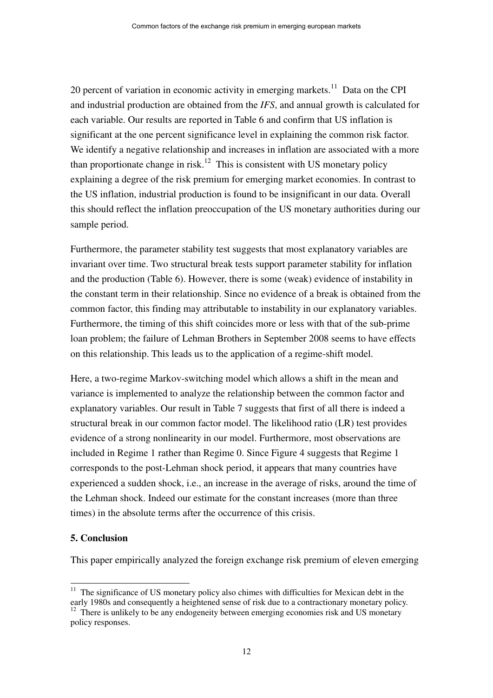20 percent of variation in economic activity in emerging markets.<sup>11</sup> Data on the CPI and industrial production are obtained from the *IFS*, and annual growth is calculated for each variable. Our results are reported in Table 6 and confirm that US inflation is significant at the one percent significance level in explaining the common risk factor. We identify a negative relationship and increases in inflation are associated with a more than proportionate change in risk.<sup>12</sup> This is consistent with US monetary policy explaining a degree of the risk premium for emerging market economies. In contrast to the US inflation, industrial production is found to be insignificant in our data. Overall this should reflect the inflation preoccupation of the US monetary authorities during our sample period.

Furthermore, the parameter stability test suggests that most explanatory variables are invariant over time. Two structural break tests support parameter stability for inflation and the production (Table 6). However, there is some (weak) evidence of instability in the constant term in their relationship. Since no evidence of a break is obtained from the common factor, this finding may attributable to instability in our explanatory variables. Furthermore, the timing of this shift coincides more or less with that of the sub-prime loan problem; the failure of Lehman Brothers in September 2008 seems to have effects on this relationship. This leads us to the application of a regime-shift model.

Here, a two-regime Markov-switching model which allows a shift in the mean and variance is implemented to analyze the relationship between the common factor and explanatory variables. Our result in Table 7 suggests that first of all there is indeed a structural break in our common factor model. The likelihood ratio (LR) test provides evidence of a strong nonlinearity in our model. Furthermore, most observations are included in Regime 1 rather than Regime 0. Since Figure 4 suggests that Regime 1 corresponds to the post-Lehman shock period, it appears that many countries have experienced a sudden shock, i.e., an increase in the average of risks, around the time of the Lehman shock. Indeed our estimate for the constant increases (more than three times) in the absolute terms after the occurrence of this crisis.

#### **5. Conclusion**

 $\overline{a}$ 

This paper empirically analyzed the foreign exchange risk premium of eleven emerging

 $11$  The significance of US monetary policy also chimes with difficulties for Mexican debt in the early 1980s and consequently a heightened sense of risk due to a contractionary monetary policy.

<sup>&</sup>lt;sup>12</sup> There is unlikely to be any endogeneity between emerging economies risk and US monetary policy responses.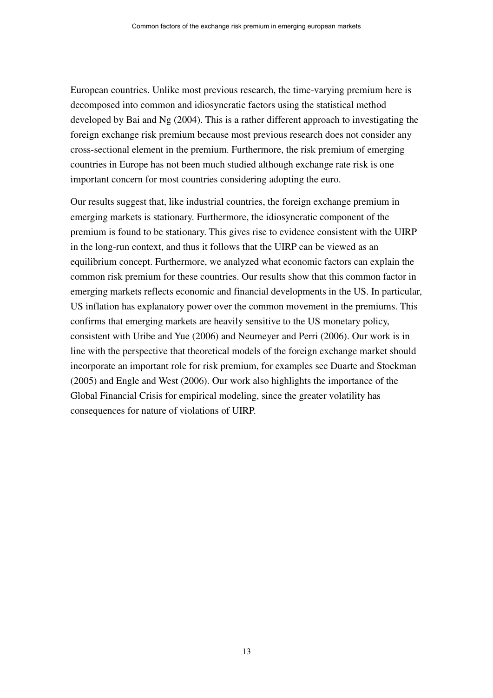European countries. Unlike most previous research, the time-varying premium here is decomposed into common and idiosyncratic factors using the statistical method developed by Bai and Ng (2004). This is a rather different approach to investigating the foreign exchange risk premium because most previous research does not consider any cross-sectional element in the premium. Furthermore, the risk premium of emerging countries in Europe has not been much studied although exchange rate risk is one important concern for most countries considering adopting the euro.

Our results suggest that, like industrial countries, the foreign exchange premium in emerging markets is stationary. Furthermore, the idiosyncratic component of the premium is found to be stationary. This gives rise to evidence consistent with the UIRP in the long-run context, and thus it follows that the UIRP can be viewed as an equilibrium concept. Furthermore, we analyzed what economic factors can explain the common risk premium for these countries. Our results show that this common factor in emerging markets reflects economic and financial developments in the US. In particular, US inflation has explanatory power over the common movement in the premiums. This confirms that emerging markets are heavily sensitive to the US monetary policy, consistent with Uribe and Yue (2006) and Neumeyer and Perri (2006). Our work is in line with the perspective that theoretical models of the foreign exchange market should incorporate an important role for risk premium, for examples see Duarte and Stockman (2005) and Engle and West (2006). Our work also highlights the importance of the Global Financial Crisis for empirical modeling, since the greater volatility has consequences for nature of violations of UIRP.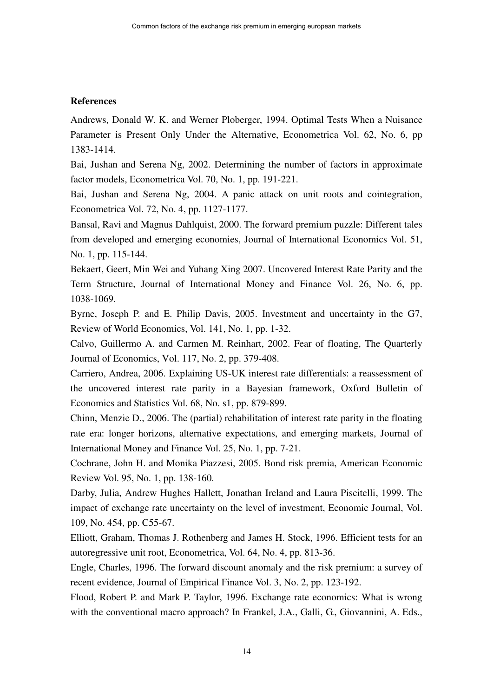## **References**

Andrews, Donald W. K. and Werner Ploberger, 1994. Optimal Tests When a Nuisance Parameter is Present Only Under the Alternative, Econometrica Vol. 62, No. 6, pp 1383-1414.

Bai, Jushan and Serena Ng, 2002. Determining the number of factors in approximate factor models, Econometrica Vol. 70, No. 1, pp. 191-221.

Bai, Jushan and Serena Ng, 2004. A panic attack on unit roots and cointegration, Econometrica Vol. 72, No. 4, pp. 1127-1177.

Bansal, Ravi and Magnus Dahlquist, 2000. The forward premium puzzle: Different tales from developed and emerging economies, Journal of International Economics Vol. 51, No. 1, pp. 115-144.

Bekaert, Geert, Min Wei and Yuhang Xing 2007. Uncovered Interest Rate Parity and the Term Structure, Journal of International Money and Finance Vol. 26, No. 6, pp. 1038-1069.

Byrne, Joseph P. and E. Philip Davis, 2005. Investment and uncertainty in the G7, Review of World Economics, Vol. 141, No. 1, pp. 1-32.

Calvo, Guillermo A. and Carmen M. Reinhart, 2002. Fear of floating, The Quarterly Journal of Economics, Vol. 117, No. 2, pp. 379-408.

Carriero, Andrea, 2006. Explaining US-UK interest rate differentials: a reassessment of the uncovered interest rate parity in a Bayesian framework, Oxford Bulletin of Economics and Statistics Vol. 68, No. s1, pp. 879-899.

Chinn, Menzie D., 2006. The (partial) rehabilitation of interest rate parity in the floating rate era: longer horizons, alternative expectations, and emerging markets, Journal of International Money and Finance Vol. 25, No. 1, pp. 7-21.

Cochrane, John H. and Monika Piazzesi, 2005. Bond risk premia, American Economic Review Vol. 95, No. 1, pp. 138-160.

Darby, Julia, Andrew Hughes Hallett, Jonathan Ireland and Laura Piscitelli, 1999. The impact of exchange rate uncertainty on the level of investment, Economic Journal, Vol. 109, No. 454, pp. C55-67.

Elliott, Graham, Thomas J. Rothenberg and James H. Stock, 1996. Efficient tests for an autoregressive unit root, Econometrica, Vol. 64, No. 4, pp. 813-36.

Engle, Charles, 1996. The forward discount anomaly and the risk premium: a survey of recent evidence, Journal of Empirical Finance Vol. 3, No. 2, pp. 123-192.

Flood, Robert P. and Mark P. Taylor, 1996. Exchange rate economics: What is wrong with the conventional macro approach? In Frankel, J.A., Galli, G., Giovannini, A. Eds.,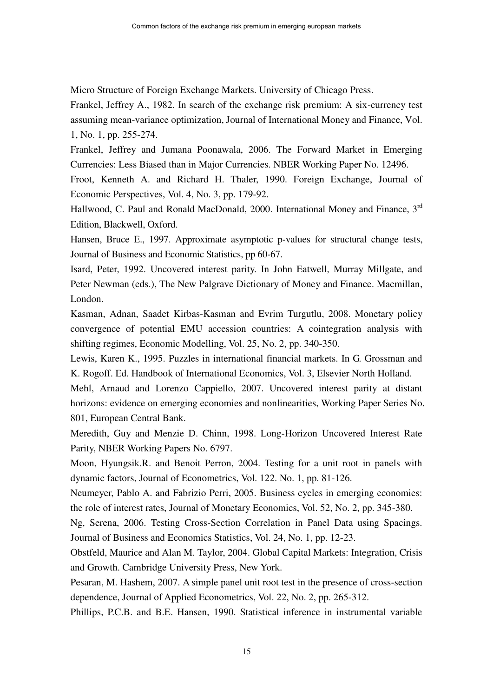Micro Structure of Foreign Exchange Markets. University of Chicago Press.

Frankel, Jeffrey A., 1982. In search of the exchange risk premium: A six-currency test assuming mean-variance optimization, Journal of International Money and Finance, Vol. 1, No. 1, pp. 255-274.

Frankel, Jeffrey and Jumana Poonawala, 2006. The Forward Market in Emerging Currencies: Less Biased than in Major Currencies. NBER Working Paper No. 12496.

Froot, Kenneth A. and Richard H. Thaler, 1990. Foreign Exchange, Journal of Economic Perspectives, Vol. 4, No. 3, pp. 179-92.

Hallwood, C. Paul and Ronald MacDonald, 2000. International Money and Finance, 3<sup>rd</sup> Edition, Blackwell, Oxford.

Hansen, Bruce E., 1997. Approximate asymptotic p-values for structural change tests, Journal of Business and Economic Statistics, pp 60-67.

Isard, Peter, 1992. Uncovered interest parity. In John Eatwell, Murray Millgate, and Peter Newman (eds.), The New Palgrave Dictionary of Money and Finance. Macmillan, London.

Kasman, Adnan, Saadet Kirbas-Kasman and Evrim Turgutlu, 2008. Monetary policy convergence of potential EMU accession countries: A cointegration analysis with shifting regimes, Economic Modelling, Vol. 25, No. 2, pp. 340-350.

Lewis, Karen K., 1995. Puzzles in international financial markets. In G. Grossman and K. Rogoff. Ed. Handbook of International Economics, Vol. 3, Elsevier North Holland.

Mehl, Arnaud and Lorenzo Cappiello, 2007. Uncovered interest parity at distant horizons: evidence on emerging economies and nonlinearities, Working Paper Series No. 801, European Central Bank.

Meredith, Guy and Menzie D. Chinn, 1998. Long-Horizon Uncovered Interest Rate Parity, NBER Working Papers No. 6797.

Moon, Hyungsik.R. and Benoit Perron, 2004. Testing for a unit root in panels with dynamic factors, Journal of Econometrics, Vol. 122. No. 1, pp. 81-126.

Neumeyer, Pablo A. and Fabrizio Perri, 2005. Business cycles in emerging economies: the role of interest rates, Journal of Monetary Economics, Vol. 52, No. 2, pp. 345-380.

Ng, Serena, 2006. Testing Cross-Section Correlation in Panel Data using Spacings. Journal of Business and Economics Statistics, Vol. 24, No. 1, pp. 12-23.

Obstfeld, Maurice and Alan M. Taylor, 2004. Global Capital Markets: Integration, Crisis and Growth. Cambridge University Press, New York.

Pesaran, M. Hashem, 2007. A simple panel unit root test in the presence of cross-section dependence, Journal of Applied Econometrics, Vol. 22, No. 2, pp. 265-312.

Phillips, P.C.B. and B.E. Hansen, 1990. Statistical inference in instrumental variable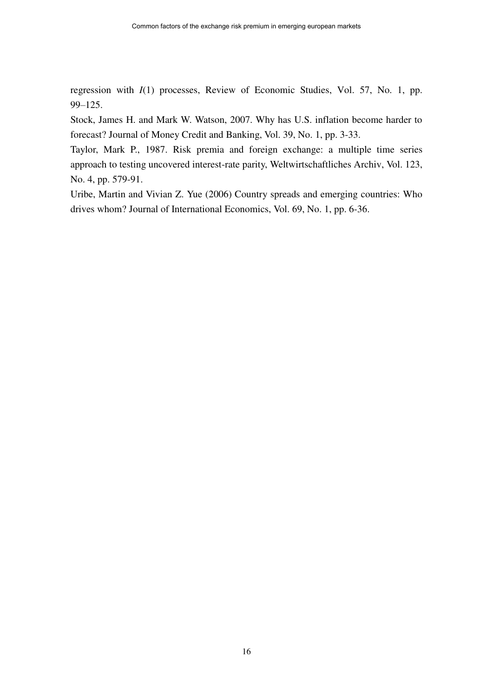regression with *I*(1) processes, Review of Economic Studies, Vol. 57, No. 1, pp. 99–125.

Stock, James H. and Mark W. Watson, 2007. Why has U.S. inflation become harder to forecast? Journal of Money Credit and Banking, Vol. 39, No. 1, pp. 3-33.

Taylor, Mark P., 1987. Risk premia and foreign exchange: a multiple time series approach to testing uncovered interest-rate parity, Weltwirtschaftliches Archiv, Vol. 123, No. 4, pp. 579-91.

Uribe, Martin and Vivian Z. Yue (2006) Country spreads and emerging countries: Who drives whom? Journal of International Economics, Vol. 69, No. 1, pp. 6-36.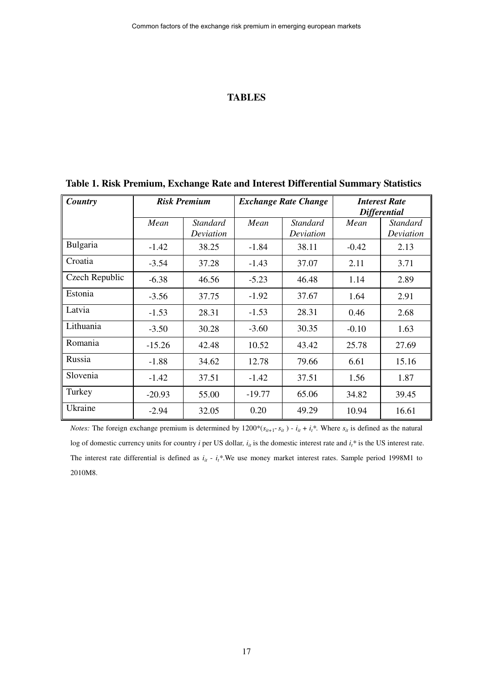### **TABLES**

| Country        | <b>Risk Premium</b> |                              |          | <b>Exchange Rate Change</b>  | <b>Interest Rate</b><br><b>Differential</b> |                       |
|----------------|---------------------|------------------------------|----------|------------------------------|---------------------------------------------|-----------------------|
|                | Mean                | <b>Standard</b><br>Deviation | Mean     | <b>Standard</b><br>Deviation | Mean                                        | Standard<br>Deviation |
| Bulgaria       | $-1.42$             | 38.25                        | $-1.84$  | 38.11                        | $-0.42$                                     | 2.13                  |
| Croatia        | $-3.54$             | 37.28                        | $-1.43$  | 37.07                        | 2.11                                        | 3.71                  |
| Czech Republic | $-6.38$             | 46.56                        | $-5.23$  | 46.48                        | 1.14                                        | 2.89                  |
| Estonia        | $-3.56$             | 37.75                        | $-1.92$  | 37.67                        | 1.64                                        | 2.91                  |
| Latvia         | $-1.53$             | 28.31                        | $-1.53$  | 28.31                        | 0.46                                        | 2.68                  |
| Lithuania      | $-3.50$             | 30.28                        | $-3.60$  | 30.35                        | $-0.10$                                     | 1.63                  |
| Romania        | $-15.26$            | 42.48                        | 10.52    | 43.42                        | 25.78                                       | 27.69                 |
| Russia         | $-1.88$             | 34.62                        | 12.78    | 79.66                        | 6.61                                        | 15.16                 |
| Slovenia       | $-1.42$             | 37.51                        | $-1.42$  | 37.51                        | 1.56                                        | 1.87                  |
| Turkey         | $-20.93$            | 55.00                        | $-19.77$ | 65.06                        | 34.82                                       | 39.45                 |
| Ukraine        | $-2.94$             | 32.05                        | 0.20     | 49.29                        | 10.94                                       | 16.61                 |

# **Table 1. Risk Premium, Exchange Rate and Interest Differential Summary Statistics**

*Notes:* The foreign exchange premium is determined by  $1200*(s_{ii+1} - s_{ii}) - i_{ii} + i_i$ <sup>\*</sup>. Where  $s_{ii}$  is defined as the natural log of domestic currency units for country *i* per US dollar,  $i<sub>i</sub>$  is the domestic interest rate and  $i<sub>i</sub>$ <sup>\*</sup> is the US interest rate. The interest rate differential is defined as  $i_i$  -  $i_t^*$ . We use money market interest rates. Sample period 1998M1 to 2010M8.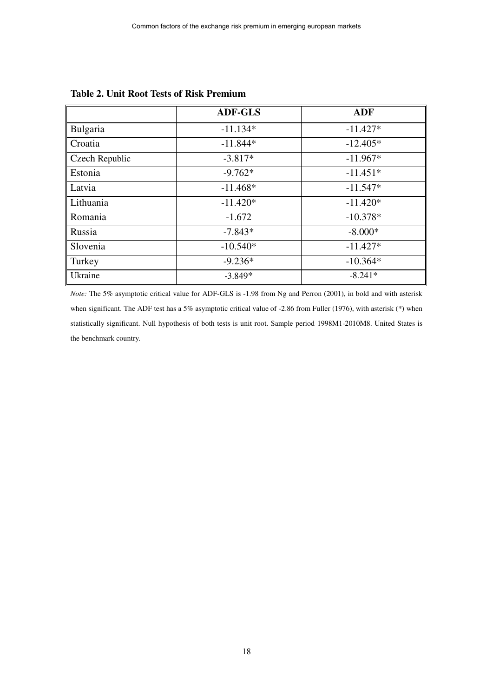|                | <b>ADF-GLS</b> | <b>ADF</b> |
|----------------|----------------|------------|
| Bulgaria       | $-11.134*$     | $-11.427*$ |
| Croatia        | $-11.844*$     | $-12.405*$ |
| Czech Republic | $-3.817*$      | $-11.967*$ |
| Estonia        | $-9.762*$      | $-11.451*$ |
| Latvia         | $-11.468*$     | $-11.547*$ |
| Lithuania      | $-11.420*$     | $-11.420*$ |
| Romania        | $-1.672$       | $-10.378*$ |
| Russia         | $-7.843*$      | $-8.000*$  |
| Slovenia       | $-10.540*$     | $-11.427*$ |
| Turkey         | $-9.236*$      | $-10.364*$ |
| Ukraine        | $-3.849*$      | $-8.241*$  |

#### **Table 2. Unit Root Tests of Risk Premium**

*Note:* The 5% asymptotic critical value for ADF-GLS is -1.98 from Ng and Perron (2001), in bold and with asterisk when significant. The ADF test has a 5% asymptotic critical value of -2.86 from Fuller (1976), with asterisk (\*) when statistically significant. Null hypothesis of both tests is unit root. Sample period 1998M1-2010M8. United States is the benchmark country.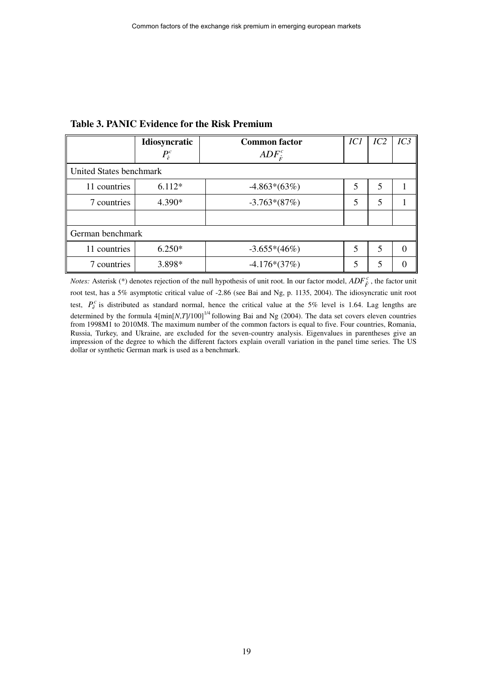|                         | <b>Idiosyncratic</b> | ICI<br><b>Common factor</b> |   | IC2 | $\overline{IC3}$ |
|-------------------------|----------------------|-----------------------------|---|-----|------------------|
|                         | $P_{\hat{e}}^c$      | $ADF_{\hat{\kappa}}^c$      |   |     |                  |
| United States benchmark |                      |                             |   |     |                  |
| 11 countries            | $6.112*$             | $-4.863*(63%)$              | 5 | 5   |                  |
| 7 countries             | 4.390*               | $-3.763*(87%)$              | 5 | 5   |                  |
|                         |                      |                             |   |     |                  |
| German benchmark        |                      |                             |   |     |                  |
| 11 countries            | $6.250*$             | $-3.655*(46%)$              | 5 | 5   | $\Omega$         |
| 7 countries             | 3.898*               | $-4.176*(37%)$              | 5 | 5   |                  |

#### **Table 3. PANIC Evidence for the Risk Premium**

*Notes:* Asterisk (\*) denotes rejection of the null hypothesis of unit root. In our factor model,  $ADF_F^c$ , the factor unit root test, has a 5% asymptotic critical value of -2.86 (see Bai and Ng, p. 1135, 2004). The idiosyncratic unit root test,  $P_e^c$  is distributed as standard normal, hence the critical value at the 5% level is 1.64. Lag lengths are determined by the formula  $4[\min[N,T]/100]^{1/4}$  following Bai and Ng (2004). The data set covers eleven countries from 1998M1 to 2010M8. The maximum number of the common factors is equal to five. Four countries, Romania, Russia, Turkey, and Ukraine, are excluded for the seven-country analysis. Eigenvalues in parentheses give an impression of the degree to which the different factors explain overall variation in the panel time series. The US dollar or synthetic German mark is used as a benchmark.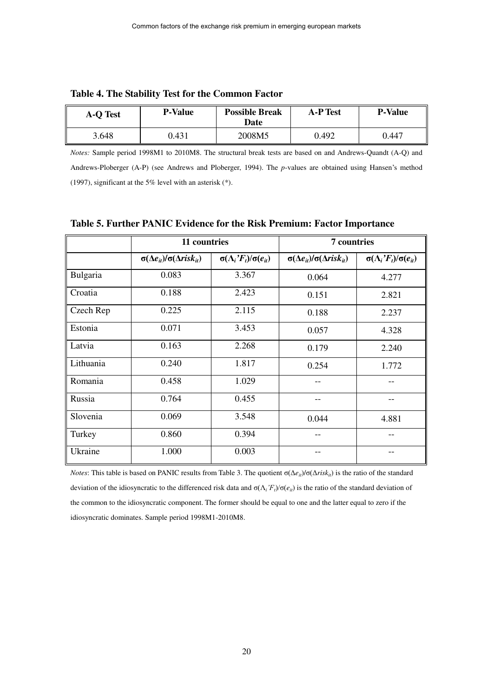| <b>A-O Test</b> | <b>P-Value</b> | <b>Possible Break</b><br>Date | <b>A-P Test</b> | <b>P-Value</b> |
|-----------------|----------------|-------------------------------|-----------------|----------------|
| 3.648           | 0.431          | 2008M5                        | 0.492           | 0.447          |

| Table 4. The Stability Test for the Common Factor |  |  |  |  |  |
|---------------------------------------------------|--|--|--|--|--|
|---------------------------------------------------|--|--|--|--|--|

*Notes:* Sample period 1998M1 to 2010M8. The structural break tests are based on and Andrews-Quandt (A-Q) and Andrews-Ploberger (A-P) (see Andrews and Ploberger, 1994). The *p*-values are obtained using Hansen's method (1997), significant at the 5% level with an asterisk (\*).

|           | 11 countries                                     |                                              | 7 countries                                      |                                              |  |
|-----------|--------------------------------------------------|----------------------------------------------|--------------------------------------------------|----------------------------------------------|--|
|           | $\sigma(\Delta e_{it})/\sigma(\Delta risk_{it})$ | $\sigma(\Lambda_i \dot{F}_t)/\sigma(e_{it})$ | $\sigma(\Delta e_{it})/\sigma(\Delta risk_{it})$ | $\sigma(\Lambda_i \dot{F}_t)/\sigma(e_{it})$ |  |
| Bulgaria  | 0.083                                            | 3.367                                        | 0.064                                            | 4.277                                        |  |
| Croatia   | 0.188                                            | 2.423                                        | 0.151                                            | 2.821                                        |  |
| Czech Rep | 0.225                                            | 2.115                                        | 0.188                                            | 2.237                                        |  |
| Estonia   | 0.071                                            | 3.453                                        | 0.057                                            | 4.328                                        |  |
| Latvia    | 0.163                                            | 2.268                                        | 0.179                                            | 2.240                                        |  |
| Lithuania | 0.240                                            | 1.817                                        | 0.254                                            | 1.772                                        |  |
| Romania   | 0.458                                            | 1.029                                        |                                                  |                                              |  |
| Russia    | 0.764                                            | 0.455                                        | --                                               |                                              |  |
| Slovenia  | 0.069                                            | 3.548                                        | 0.044                                            | 4.881                                        |  |
| Turkey    | 0.860                                            | 0.394                                        |                                                  |                                              |  |
| Ukraine   | 1.000                                            | 0.003                                        |                                                  |                                              |  |

#### **Table 5. Further PANIC Evidence for the Risk Premium: Factor Importance**

*Notes*: This table is based on PANIC results from Table 3. The quotient  $\sigma(\Delta e_i)/\sigma(\Delta r_i s k_i)$  is the ratio of the standard deviation of the idiosyncratic to the differenced risk data and  $\sigma(\Lambda_i'F_i)/\sigma(e_i)$  is the ratio of the standard deviation of the common to the idiosyncratic component. The former should be equal to one and the latter equal to zero if the idiosyncratic dominates. Sample period 1998M1-2010M8.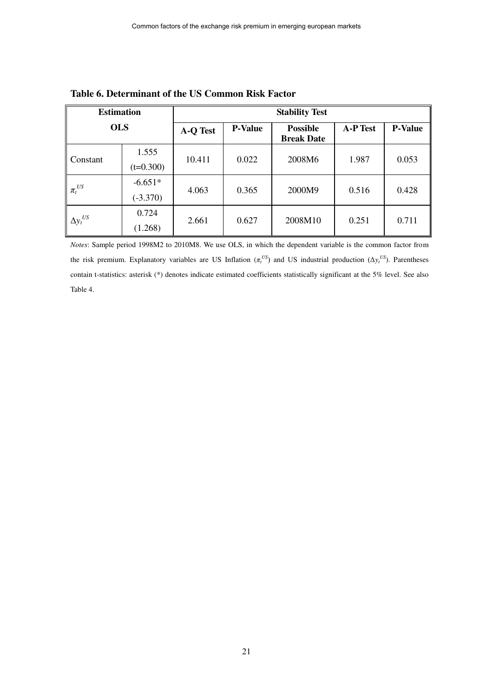| <b>Estimation</b> |                         | <b>Stability Test</b> |                |                                      |                 |                |  |
|-------------------|-------------------------|-----------------------|----------------|--------------------------------------|-----------------|----------------|--|
| <b>OLS</b>        |                         | A-Q Test              | <b>P-Value</b> | <b>Possible</b><br><b>Break Date</b> | <b>A-P Test</b> | <b>P-Value</b> |  |
| Constant          | 1.555<br>$(t=0.300)$    | 10.411                | 0.022          | 2008M6                               | 1.987           | 0.053          |  |
| $\pi_t^{US}$      | $-6.651*$<br>$(-3.370)$ | 4.063                 | 0.365          | 2000M9                               | 0.516           | 0.428          |  |
| $\Delta y_t^{US}$ | 0.724<br>(1.268)        | 2.661                 | 0.627          | 2008M10                              | 0.251           | 0.711          |  |

**Table 6. Determinant of the US Common Risk Factor** 

*Notes*: Sample period 1998M2 to 2010M8. We use OLS, in which the dependent variable is the common factor from the risk premium. Explanatory variables are US Inflation  $(\pi_t^{US})$  and US industrial production  $(\Delta y_t^{US})$ . Parentheses contain t-statistics: asterisk (\*) denotes indicate estimated coefficients statistically significant at the 5% level. See also Table 4.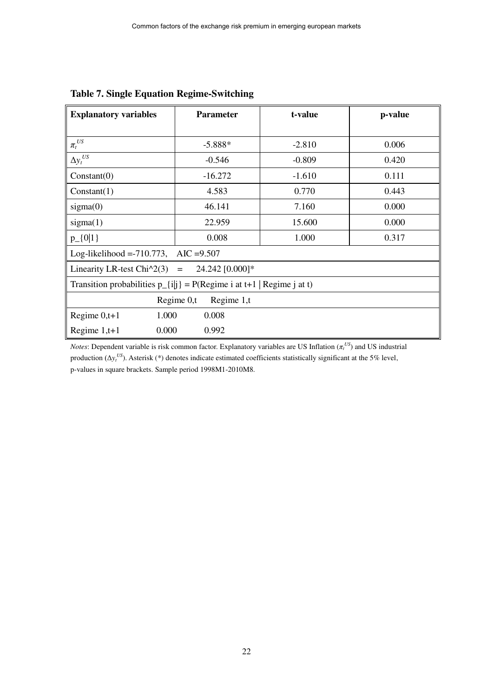| <b>Explanatory variables</b>                                                                               | <b>Parameter</b>                               | t-value  | p-value |  |  |  |  |
|------------------------------------------------------------------------------------------------------------|------------------------------------------------|----------|---------|--|--|--|--|
|                                                                                                            |                                                |          |         |  |  |  |  |
| $\pi_t^{US}$                                                                                               | $-5.888*$                                      | $-2.810$ | 0.006   |  |  |  |  |
| $\Delta y_t^{US}$                                                                                          | $-0.546$                                       | $-0.809$ | 0.420   |  |  |  |  |
| Constant(0)                                                                                                | $-16.272$                                      | $-1.610$ | 0.111   |  |  |  |  |
| Constant(1)                                                                                                | 4.583                                          | 0.770    | 0.443   |  |  |  |  |
| sigma(0)                                                                                                   | 46.141                                         | 7.160    | 0.000   |  |  |  |  |
| sigma(1)                                                                                                   | 22.959                                         | 15.600   | 0.000   |  |  |  |  |
| $p_{-}\{0 1\}$                                                                                             | 0.008                                          | 1.000    | 0.317   |  |  |  |  |
|                                                                                                            | Log-likelihood = -710.773, AIC = 9.507         |          |         |  |  |  |  |
|                                                                                                            | Linearity LR-test Chi $2(3) = 24.242$ [0.000]* |          |         |  |  |  |  |
| Transition probabilities $p_{i}[i] = P(\text{Regime } i \text{ at } t+1   \text{Regime } j \text{ at } t)$ |                                                |          |         |  |  |  |  |
|                                                                                                            | Regime $0,t$<br>Regime 1,t                     |          |         |  |  |  |  |
| 1.000<br>Regime $0,t+1$                                                                                    | 0.008                                          |          |         |  |  |  |  |
| 0.000<br>Regime $1,t+1$                                                                                    | 0.992                                          |          |         |  |  |  |  |

# **Table 7. Single Equation Regime-Switching**

*Notes*: Dependent variable is risk common factor. Explanatory variables are US Inflation (*π<sup>t</sup> US*) and US industrial production  $(\Delta y_t^{US})$ . Asterisk (\*) denotes indicate estimated coefficients statistically significant at the 5% level, p-values in square brackets. Sample period 1998M1-2010M8.